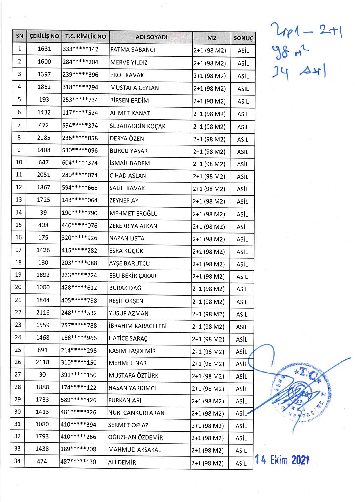| SN             | ÇEKİLİŞ NO | <b>T.C. KİMLİK NO</b> | <b>ADI SOYADI</b>         | M <sub>2</sub> | SONUÇ       |
|----------------|------------|-----------------------|---------------------------|----------------|-------------|
| 1              | 1631       | 333******142          | <b>FATMA SABANCI</b>      | $2+1$ (98 M2)  | ASİL        |
| 2              | 1600       | 284 ***** 204         | MERVE YILDIZ              | $2+1$ (98 M2)  | ASİL        |
| 3              | 1397       | 239*****396           | <b>EROL KAVAK</b>         | 2+1 (98 M2)    | <b>ASIL</b> |
| 4              | 1862       | 318*****794           | MUSTAFA CEYLAN            | 2+1 (98 M2)    | ASİL        |
| 5              | 193        | 253 ***** 734         | <b>BIRSEN ERDIM</b>       | 2+1 (98 M2)    | ASİL        |
| 6              | 1432       | 117*****524           | <b>AHMET KANAT</b>        | 2+1 (98 M2)    | ASİL        |
| $\overline{7}$ | 472        | 594 ***** 374         | SEBAHADDİN KOÇAK          | 2+1 (98 M2)    | ASİL        |
| 8              | 2185       | 236******058          | DERYA ÖZEN                | 2+1 (98 M2)    | ASİL        |
| 9              | 1408       | 530*****096           | <b>BURCU YAŞAR</b>        | 2+1 (98 M2)    | ASİL        |
| 10             | 647        | 604*****374           | <b>ISMAIL BADEM</b>       | 2+1 (98 M2)    | ASİL        |
| 11             | 2051       | 280*****074           | CIHAD ASLAN               | 2+1 (98 M2)    | ASİL        |
| 12             | 1867       | 594*****668           | SALİH KAVAK               | 2+1 (98 M2)    | ASİL        |
| 13             | 1725       | 143 ***** 064         | <b>ZEYNEP AY</b>          | 2+1 (98 M2)    | ASİL        |
| 14             | 39         | 190*****790           | MEHMET EROĞLU             | 2+1 (98 M2)    | ASİL        |
| 15             | 408        | 440 ***** 076         | ZEKERRİYA ALKAN           | 2+1 (98 M2)    | ASIL        |
| 16             | 175        | 320*****926           | <b>NAZAN USTA</b>         | 2+1 (98 M2)    | ASİL        |
| 17             | 1426       | 415******282          | ESRA KÜÇÜK                | 2+1 (98 M2)    | ASİL        |
| 18             | 180        | 203 ***** 088         | AYŞE BARUTCU              | 2+1 (98 M2)    | ASİL        |
| 19             | 1892       | 233 ***** 224         | EBU BEKİR ÇAKAR           | 2+1 (98 M2)    | ASİL        |
| 20             | 1000       | 428*****612           | <b>BURAK DAĞ</b>          | 2+1 (98 M2)    | ASİL        |
| 21             | 1844       | 405******798          | REŞİT OKŞEN               | 2+1 (98 M2)    | ASİL        |
| 22             | 2116       | 248*****532           | YUSUF AZMAN               | 2+1 (98 M2)    | ASİL        |
| 23             | 1559       | 257*****788           | <b>İBRAHİM KARAÇELEBİ</b> | $2+1$ (98 M2)  | ASİL        |
| 24             | 1468       | 188*****966           | <b>HATICE SARAÇ</b>       | 2+1 (98 M2)    | ASİL        |
| 25             | 691        | 214******298          | KASIM TAŞDEMİR            | 2+1 (98 M2)    | <b>ASİL</b> |
| 26             | 2118       | 310******150          | <b>MEHMET NAR</b>         | 2+1 (98 M2)    | <b>ASIL</b> |
| 27             | 30         | 391 ***** 150         | MUSTAFA ÖZTÜRK            | $2+1$ (98 M2)  | ASİL        |
| 28             | 1888       | 174*****122           | HASAN YARDIMCI            | 2+1 (98 M2)    | ASİL        |
| 29             | 1733       | 589*****426           | <b>FURKAN ARI</b>         | 2+1 (98 M2)    | ASİL        |
| 30             | 1413       | 481 ***** 326         | <b>NURİ CANKURTARAN</b>   | 2+1 (98 M2)    | <b>ASİL</b> |
| 31             | 1080       | 410 ***** 394         | <b>SERMET OFLAZ</b>       | 2+1 (98 M2)    | ASİL        |
| 32             | 1793       | 410*****266           | OĞUZHAN ÖZDEMİR           | 2+1 (98 M2)    | ASİL        |
| 33             | 1438       | 189*****208           | MAHMUD AKSAKAL            | 2+1 (98 M2)    | ASİL        |
| 34             | 474        | 487*****130           | ALİ DEMİR                 | 2+1 (98 M2)    | ASİL        |
|                |            |                       |                           |                |             |

21p1 - 2+1<br>98 m<sup>2</sup><br>24 set

4 Ekim 2021